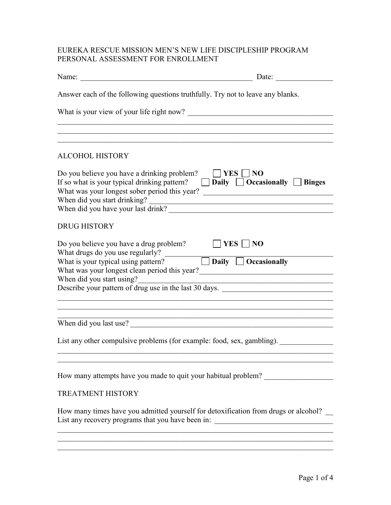# EUREKA RESCUE MISSION MEN'S NEW LIFE DISCIPLESHIP PROGRAM PERSONAL ASSESSMENT FOR ENROLLMENT

|                                                                                                                                                                                                                                                                                                                                                                                                                                                                                                                                 | Date: $\qquad \qquad$                                                  |
|---------------------------------------------------------------------------------------------------------------------------------------------------------------------------------------------------------------------------------------------------------------------------------------------------------------------------------------------------------------------------------------------------------------------------------------------------------------------------------------------------------------------------------|------------------------------------------------------------------------|
| Answer each of the following questions truthfully. Try not to leave any blanks.                                                                                                                                                                                                                                                                                                                                                                                                                                                 |                                                                        |
|                                                                                                                                                                                                                                                                                                                                                                                                                                                                                                                                 |                                                                        |
| <u> 1989 - Johann Stoff, amerikansk politiker (d. 1989)</u>                                                                                                                                                                                                                                                                                                                                                                                                                                                                     |                                                                        |
| <b>ALCOHOL HISTORY</b>                                                                                                                                                                                                                                                                                                                                                                                                                                                                                                          |                                                                        |
| Do you believe you have a drinking problem?<br>If so what is your typical drinking pattern?<br>What was your longest sober period this year? __________________________________<br>When did you start drinking?<br>When did you have your last drink?                                                                                                                                                                                                                                                                           | $\Box$ YES $\Box$ NO<br>$\Box$ Daily $\Box$ Occasionally $\Box$ Binges |
| <b>DRUG HISTORY</b>                                                                                                                                                                                                                                                                                                                                                                                                                                                                                                             |                                                                        |
| Do you believe you have a drug problem?<br>What drugs do you use regularly?<br>What is your typical using pattern? $\Box$ <b>Daily</b> $\Box$ <b>Occasionally</b><br>What was your longest clean period this year?<br><u>Letting and the set of the set of the set of the set of the set of the set of the set of the set of the set of the set of the set of the set of the set of the set of the set </u><br>When did you start using?<br>When did you start using?<br>Describe your pattern of drug use in the last 30 days. | $\Box$ YES $\Box$ NO                                                   |
| When did you last use?                                                                                                                                                                                                                                                                                                                                                                                                                                                                                                          |                                                                        |
| List any other compulsive problems (for example: food, sex, gambling).                                                                                                                                                                                                                                                                                                                                                                                                                                                          |                                                                        |
| How many attempts have you made to quit your habitual problem?                                                                                                                                                                                                                                                                                                                                                                                                                                                                  |                                                                        |
| <b>TREATMENT HISTORY</b>                                                                                                                                                                                                                                                                                                                                                                                                                                                                                                        |                                                                        |
| How many times have you admitted yourself for detoxification from drugs or alcohol?<br>List any recovery programs that you have been in: _______________________________                                                                                                                                                                                                                                                                                                                                                        |                                                                        |
| <u> 1989 - Johann Stoff, amerikansk politiker (d. 1989)</u>                                                                                                                                                                                                                                                                                                                                                                                                                                                                     |                                                                        |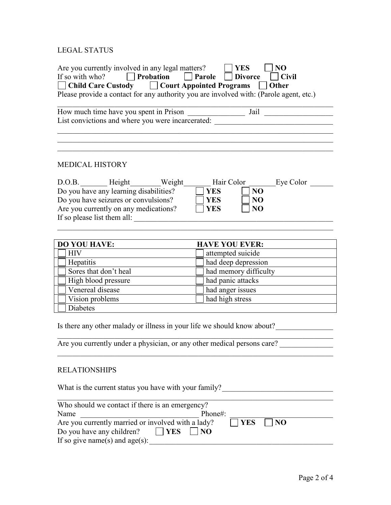# LEGAL STATUS

| Are you currently involved in any legal matters?<br>$\Box$ Probation<br>If so with who? | <b>YES</b><br>N <sub>O</sub><br>$\Box$ Parole<br><b>Divorce</b><br>$ $ Civil     |  |  |  |
|-----------------------------------------------------------------------------------------|----------------------------------------------------------------------------------|--|--|--|
| Child Care Custody □ Court Appointed Programs                                           | Other                                                                            |  |  |  |
| Please provide a contact for any authority you are involved with: (Parole agent, etc.)  |                                                                                  |  |  |  |
|                                                                                         |                                                                                  |  |  |  |
| How much time have you spent in Prison                                                  |                                                                                  |  |  |  |
|                                                                                         | List convictions and where you were incarcerated: ______________________________ |  |  |  |
|                                                                                         |                                                                                  |  |  |  |
|                                                                                         |                                                                                  |  |  |  |
| <b>MEDICAL HISTORY</b>                                                                  |                                                                                  |  |  |  |
|                                                                                         |                                                                                  |  |  |  |
| D.O.B. Height Weight                                                                    | Hair Color<br>Eye Color                                                          |  |  |  |
| Do you have any learning disabilities?                                                  | <b>YES</b><br>N <sub>O</sub>                                                     |  |  |  |
| Do you have seizures or convulsions?                                                    | <b>YES</b><br>NO                                                                 |  |  |  |
| Are you currently on any medications?                                                   | NO<br><b>YES</b>                                                                 |  |  |  |
| If so please list them all:                                                             |                                                                                  |  |  |  |
|                                                                                         |                                                                                  |  |  |  |
| <b>DO YOU HAVE:</b>                                                                     | <b>HAVE YOU EVER:</b>                                                            |  |  |  |
| <b>HIV</b>                                                                              | attempted suicide                                                                |  |  |  |
| Hepatitis                                                                               | had deep depression                                                              |  |  |  |
| Sores that don't heal                                                                   | had memory difficulty                                                            |  |  |  |
| High blood pressure                                                                     | had panic attacks                                                                |  |  |  |
| Venereal disease                                                                        | had anger issues                                                                 |  |  |  |
| Vision problems                                                                         | had high stress                                                                  |  |  |  |
| <b>Diabetes</b>                                                                         |                                                                                  |  |  |  |
|                                                                                         |                                                                                  |  |  |  |
| Is there any other malady or illness in your life we should know about?                 |                                                                                  |  |  |  |
| Are you currently under a physician, or any other medical persons care?                 |                                                                                  |  |  |  |
|                                                                                         |                                                                                  |  |  |  |
|                                                                                         |                                                                                  |  |  |  |
| <b>RELATIONSHIPS</b>                                                                    |                                                                                  |  |  |  |
|                                                                                         |                                                                                  |  |  |  |
| What is the current status you have with your family?                                   |                                                                                  |  |  |  |
| Who should we contact if there is an emergency?                                         |                                                                                  |  |  |  |
| Name                                                                                    | Phone#:                                                                          |  |  |  |
| Are you currently married or involved with a lady?                                      | N <sub>O</sub><br><b>YES</b>                                                     |  |  |  |
| Do you have any children?<br>$ {\bf YES} $                                              | $\vert$   NO                                                                     |  |  |  |
| If so give name(s) and $age(s)$ :                                                       |                                                                                  |  |  |  |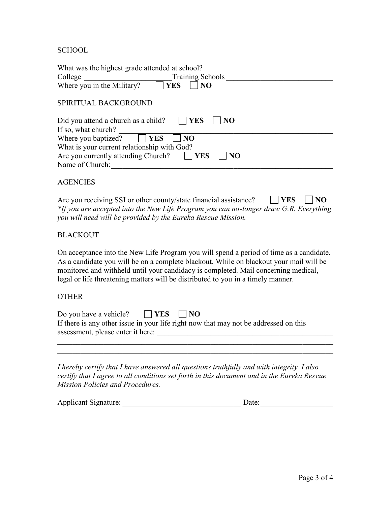SCHOOL

| What was the highest grade attended at school?             |
|------------------------------------------------------------|
| <b>Training Schools</b><br>College                         |
| Where you in the Military?<br>N <sub>O</sub><br><b>YES</b> |
|                                                            |
| SPIRITUAL BACKGROUND                                       |
| YES<br>Did you attend a church as a child?<br>NO           |
| If so, what church?                                        |
| Where you baptized?<br><b>YES</b><br>N <sub>O</sub>        |
| What is your current relationship with God?                |
| Are you currently attending Church?<br>NO<br>YES           |
| Name of Church:                                            |

### **AGENCIES**

Are you receiving SSI or other county/state financial assistance?  $\Box$  **YES**  $\Box$  **NO** *\*If you are accepted into the New Life Program you can no-longer draw G.R. Everything you will need will be provided by the Eureka Rescue Mission.*

## **BLACKOUT**

On acceptance into the New Life Program you will spend a period of time as a candidate. As a candidate you will be on a complete blackout. While on blackout your mail will be monitored and withheld until your candidacy is completed. Mail concerning medical, legal or life threatening matters will be distributed to you in a timely manner.

#### **OTHER**

| $\vert$ $\vert$ NO<br>Do you have a vehicle?<br><b>EXAMPLE SET I</b>                 |  |
|--------------------------------------------------------------------------------------|--|
| If there is any other issue in your life right now that may not be addressed on this |  |
| assessment, please enter it here:                                                    |  |
|                                                                                      |  |

*I hereby certify that I have answered all questions truthfully and with integrity. I also certify that I agree to all conditions set forth in this document and in the Eureka Rescue Mission Policies and Procedures.*

 $\_$  ,  $\_$  ,  $\_$  ,  $\_$  ,  $\_$  ,  $\_$  ,  $\_$  ,  $\_$  ,  $\_$  ,  $\_$  ,  $\_$  ,  $\_$  ,  $\_$  ,  $\_$  ,  $\_$  ,  $\_$  ,  $\_$  ,  $\_$  ,  $\_$  ,  $\_$  ,  $\_$  ,  $\_$  ,  $\_$  ,  $\_$  ,  $\_$  ,  $\_$  ,  $\_$  ,  $\_$  ,  $\_$  ,  $\_$  ,  $\_$  ,  $\_$  ,  $\_$  ,  $\_$  ,  $\_$  ,  $\_$  ,  $\_$  ,

| <b>Applicant Signature:</b> | Date: |  |
|-----------------------------|-------|--|
|                             |       |  |